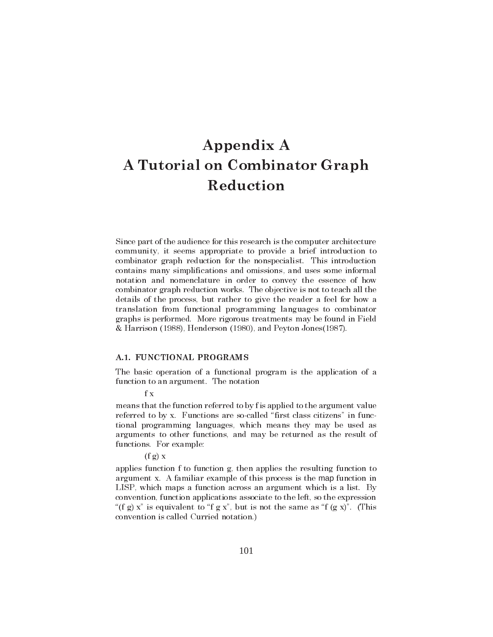# Appendix A A Tutorial on Combinator Graph Reduction

Since part of the audience for this research is the computer architecture community, it seems appropriate to provide a brief introduction to combinator graph reduction for the nonspecialist. This introduction contains many simplifications and omissions, and uses some informal notation and nomenclature in order to convey the essence of how combinator graph reduction works. The objective is not to teach all the details of the process, but rather to give the reader a feel for how a translation from functional programming languages to combinator graphs is performed. More rigorous treatments may be found in Field & Harrison (1988), Henderson (1980), and Peyton Jones(1987).

#### A.1. FUNCTIONAL PROGRAMS

The basic operation of a functional program is the application of a function to an argument. The notation

f x

means that the function referred to by f is applied to the argument value referred to by x. Functions are so-called "first class citizens" in functional programming languages, which means they may be used as arguments to other functions, and may be returned as the result of functions. For example:

#### $(f g) x$

applies function f to function g, then applies the resulting function to argument x. A familiar example of this process is the map function in LISP, which maps a function across an argument which is a list. By convention, function applications associate to the left, so the expression "(f g) x" is equivalent to "f g x", but is not the same as "f (g x)". (This convention is called Curried notation.)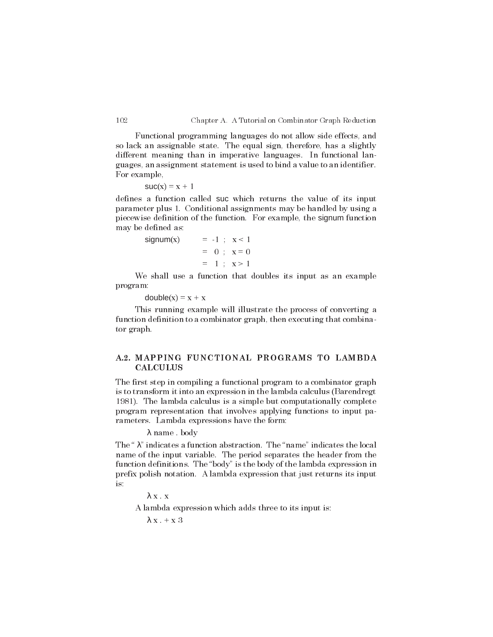Functional programming languages do not allow side effects, and so lack an assignable state. The equal sign, therefore, has a slightly different meaning than in imperative languages. In functional languages, an assignment statement is used to bind a value to an identifier. For example,

```
suc(x) = x + 1
```
defines a function called suc which returns the value of its input parameter plus 1. Conditional assignments may be handled by using a piecewise definition of the function. For example, the signum function may be defined as:

$$
signum(x) = -1 ; x < 1
$$
  
= 0 ; x = 0  
= 1 ; x > 1

We shall use a function that doubles its input as an example program:

 $double(x) = x + x$ 

This running example will illustrate the process of converting a function definition to a combinator graph, then executing that combinator graph.

# A.2. MAPPING FUNCTIONAL PROGRAMS TO LAMBDA **CALCULUS**

The first step in compiling a functional program to a combinator graph is to transform it into an expression in the lambda calculus (Barendregt 1981). The lambda calculus is a simple but computationally complete program representation that involves applying functions to input parameters. Lambda expressions have the form:

λ name . body

The " $\lambda$ " indicates a function abstraction. The "name" indicates the local name of the input variable. The period separates the header from the function definitions. The "body" is the body of the lambda expression in prefix polish notation. A lambda expression that just returns its input is:

 $λ$  x  $.$  x

A lambda expression which adds three to its input is:

 $\lambda x + x 3$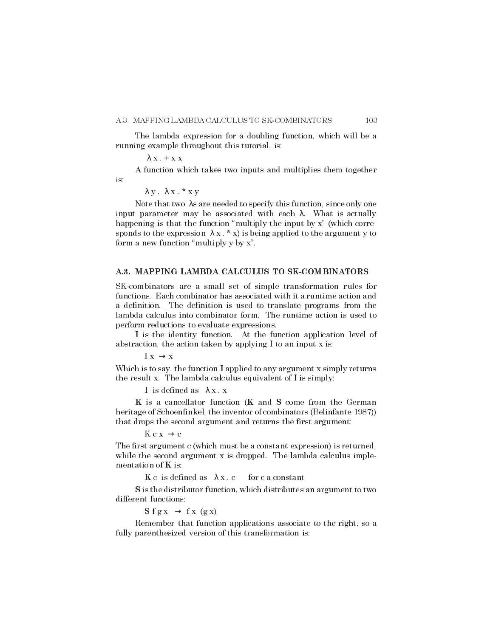The lambda expression for a doubling function, which will be a running example throughout this tutorial, is:

 $\lambda$  x . + x x

A function which takes two inputs and multiplies them together is:

λ y . λ x.\*xy

Note that two λs are needed to specify this function, since only one input parameter may be associated with each  $\lambda$ . What is actually happening is that the function "multiply the input by  $x$ " (which corresponds to the expression  $\lambda x$ . \* x) is being applied to the argument y to form a new function "multiply  $y$  by  $x$ ".

### A.3. MAPPING LAMBDA CALCULUS TO SK-COMBINATORS

SK-combinators are a small set of simple transformation rules for functions. Each combinator has associated with it a runtime action and a definition. The definition is used to translate programs from the lambda calculus into combinator form. The runtime action is used to perform reductions to evaluate expressions.

I is the identity function. At the function application level of abstraction, the action taken by applying I to an input x is:

 $I x \rightarrow x$ 

Which is to say, the function I applied to any argument x simply returns the result x. The lambda calculus equivalent of I is simply:

I is defined as  $\lambda x$ . x

K is a cancellator function (K and S come from the German heritage of Schoenfinkel, the inventor of combinators (Belinfante 1987)) that drops the second argument and returns the first argument:

 $K c x \rightarrow c$ 

The first argument c (which must be a constant expression) is returned, while the second argument x is dropped. The lambda calculus implementation of K is:

 $K c$  is defined as  $\lambda x c$  for c a constant

S is the distributor function, which distributes an argument to two different functions:

 $S$  f g x  $\rightarrow$  f x (g x)

Remember that function applications associate to the right, so a fully parenthesized version of this transformation is: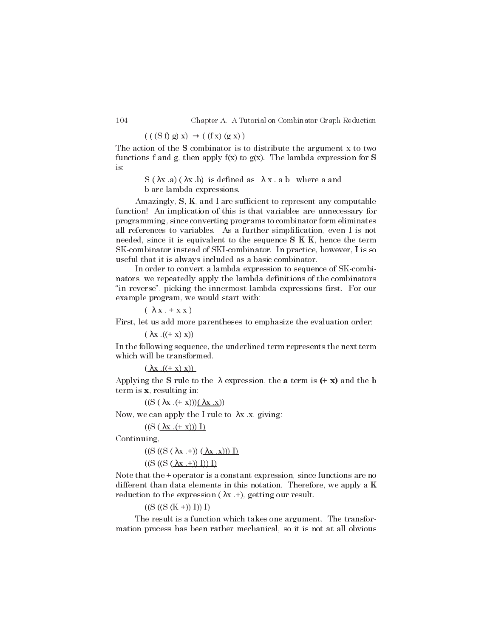104 Chapter A. A Tutorial on Combinator Graph Reduction

 $(( (S f) g) x) \rightarrow ((f x) (g x))$ 

The action of the S combinator is to distribute the argument x to two functions f and g, then apply  $f(x)$  to  $g(x)$ . The lambda expression for S is:

> S ( $\lambda$ x .a) ( $\lambda$ x .b) is defined as  $\lambda$ x .a b where a and b are lambda expressions.

Amazingly, S, K, and I are sufficient to represent any computable function! An implication of this is that variables are unnecessary for programming, since converting programs to combinator form eliminates all references to variables. As a further simplification, even I is not needed, since it is equivalent to the sequence  $S K K$ , hence the term SK-combinator instead of SKI-combinator. In practice, however, I is so useful that it is always included as a basic combinator.

In order to convert a lambda expression to sequence of SK-combinators, we repeatedly apply the lambda definitions of the combinators "in reverse", picking the innermost lambda expressions first. For our example program, we would start with:

 $(\lambda x + x x)$ 

First, let us add more parentheses to emphasize the evaluation order:

 $(\lambda x \cdot ((+ x) x))$ 

In the following sequence, the underlined term represents the next term which will be transformed.

 $(\lambda x \cdot ((+ x) x))$ 

Applying the S rule to the  $\lambda$  expression, the **a** term is  $(+ x)$  and the **b** term is x, resulting in:

 $((S (\lambda x \ (+ x)))(\lambda x \ x))$ 

Now, we can apply the I rule to  $\lambda x$  .x, giving:

 $((S (\lambda x \ (+ x))) I)$ 

Continuing,

 $((S ((S (\lambda x +)) (\lambda x .x))) I)$ 

 $((S ((S (\lambda x +)) I)) I)$ 

Note that the  $\pm$  operator is a constant expression, since functions are no different than data elements in this notation. Therefore, we apply a K reduction to the expression  $(\lambda x +)$ , getting our result.

 $((S (S (K +)) I)) I)$ 

The result is a function which takes one argument. The transformation process has been rather mechanical, so it is not at all obvious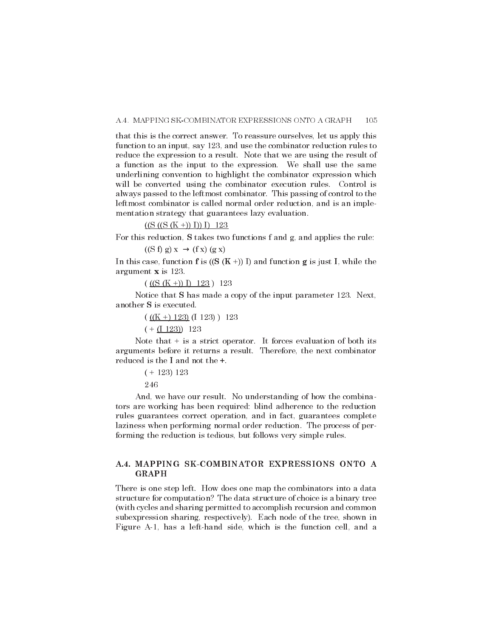that this is the correct answer. To reassure ourselves, let us apply this function to an input, say 123, and use the combinator reduction rules to reduce the expression to a result. Note that we are using the result of a function as the input to the expression. We shall use the same underlining convention to highlight the combinator expression which will be converted using the combinator execution rules. Control is always passed to the leftmost combinator. This passing of control to the leftmost combinator is called normal order reduction, and is an implementation strategy that guarantees lazy evaluation.

#### $((S ((S (K +)) I)) I) 123$

For this reduction, S takes two functions f and g, and applies the rule:  $((S f) g) x \rightarrow (f x) (g x)$ 

In this case, function **f** is  $((S (K +)) I)$  and function **g** is just I, while the argument x is 123.

 $(($  ((S (K +)) I) 123 ) 123

Notice that S has made a copy of the input parameter 123. Next, another S is executed.

> $((\underline{K} + \underline{123}) (\underline{1123}) \underline{123})$  123  $(+$  (1 123)) 123

Note that  $+$  is a strict operator. It forces evaluation of both its arguments before it returns a result. Therefore, the next combinator reduced is the I and not the +.

> $(+ 123) 123$ 246

And, we have our result. No understanding of how the combinators are working has been required: blind adherence to the reduction rules guarantees correct operation, and in fact, guarantees complete laziness when performing normal order reduction. The process of performing the reduction is tedious, but follows very simple rules.

# A.4. MAPPING SK-COMBINATOR EXPRESSIONS ONTO A GRAPH

There is one step left. How does one map the combinators into a data structure for computation? The data structure of choice is a binary tree (with cycles and sharing permitted to accomplish recursion and common subexpression sharing, respective ly). Each node of the tree, shown in Figure A-1, has a left-hand side, which is the function cell, and a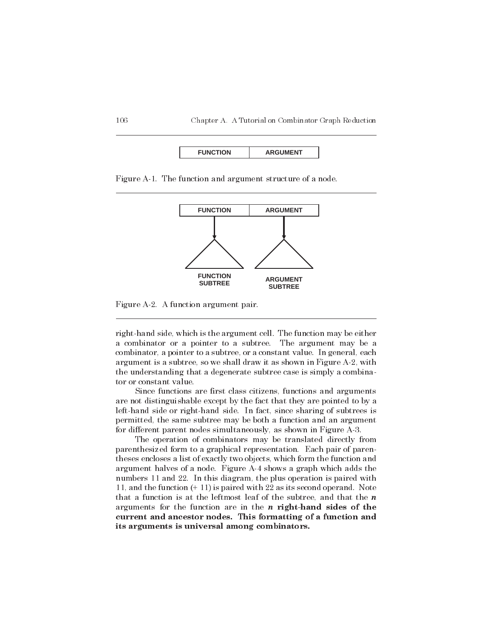| <b>CTION</b><br><b>AENT</b><br><b>ADC</b> |
|-------------------------------------------|
|-------------------------------------------|

Figure A-1. The function and argument structure of a node.



Figure A-2. A function argument pair.

right-hand side, which is the argument cell. The function may be either a combinator or a pointer to a subtree. The argument may be a combinator, a pointer to a subtree, or a constant value. In general, each argument is a subtree, so we shall draw it as shown in Figure A-2, with the understanding that a degenerate subtree case is simply a combinator or constant value.

Since functions are first class citizens, functions and arguments are not distinguishable except by the fact that they are pointed to by a left-hand side or right-hand side. In fact, since sharing of subtrees is permitted, the same subtree may be both a function and an argument for different parent nodes simultaneously, as shown in Figure A-3.

The operation of combinators may be translated directly from parenthesized form to a graphical representation. Each pair of parentheses encloses a list of exactly two objects, which form the function and argument halves of a node. Figure A-4 shows a graph which adds the numbers 11 and 22. In this diagram, the plus operation is paired with 11, and the function (+ 11) is paired with 22 as its second operand. Note that a function is at the leftmost leaf of the subtree, and that the  $n$ arguments for the function are in the  $n$  right-hand sides of the current and ancestor nodes. This formatting of a function and its arguments is universal among combinators.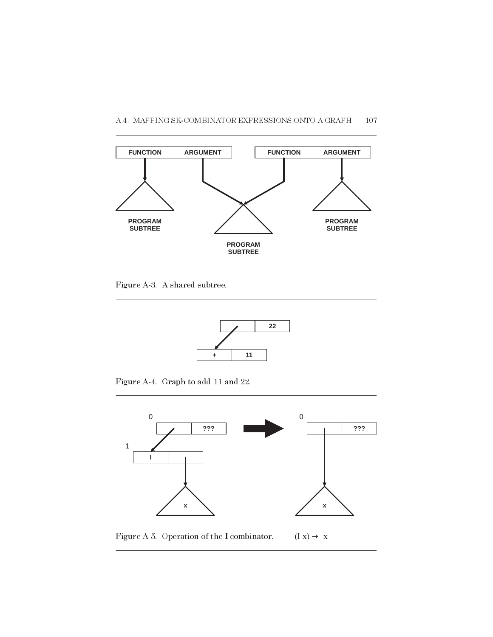

Figure A-3. A shared subtree.



Figure A-4. Graph to add 11 and 22.

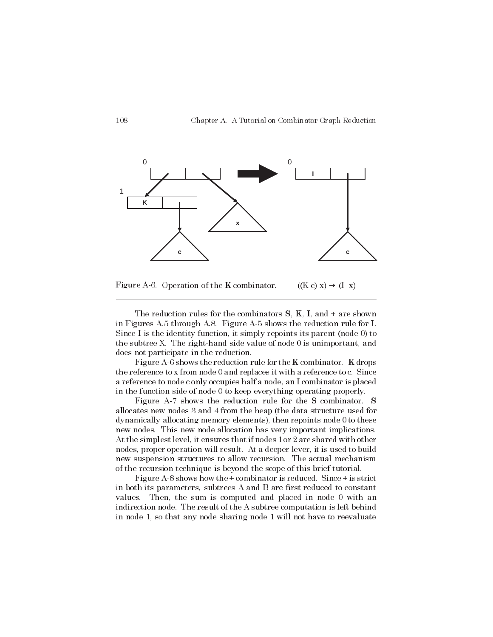

Figure A-6. Operation of the K combinator. ((K c) x)  $\rightarrow$  (I x)

The reduction rules for the combinators  $S, K, I$ , and  $+$  are shown in Figures A.5 through A.8. Figure A-5 shows the reduction rule for I. Since I is the identity function, it simply repoints its parent (node 0) to the subtree X. The right-hand side value of node 0 is unimportant, and does not participate in the reduction.

Figure A-6 shows the reduction rule for the K combinator. K drops the reference to x from node 0 and replaces it with a reference to c. Since a reference to node c only occupies half a node, an I combinator is placed in the function side of node 0 to keep everything operating properly.

Figure A-7 shows the reduction rule for the S combinator. S allocates new nodes 3 and 4 from the heap (the data structure used for dynamically allocating memory elements), then repoints node 0 to these new nodes. This new node allocation has very important implications. At the simplest level, it ensures that if nodes 1 or 2 are shared with other nodes, proper operation will result. At a deeper lever, it is used to build new suspension structures to allow recursion. The actual mechanism of the recursion technique is beyond the scope of this brief tutorial.

Figure A-8 shows how the + combinator is reduced. Since + is strict in both its parameters, subtrees A and B are first reduced to constant values. Then, the sum is computed and placed in node 0 with an indirection node. The result of the A subtree computation is left behind in node 1, so that any node sharing node 1 will not have to reevaluate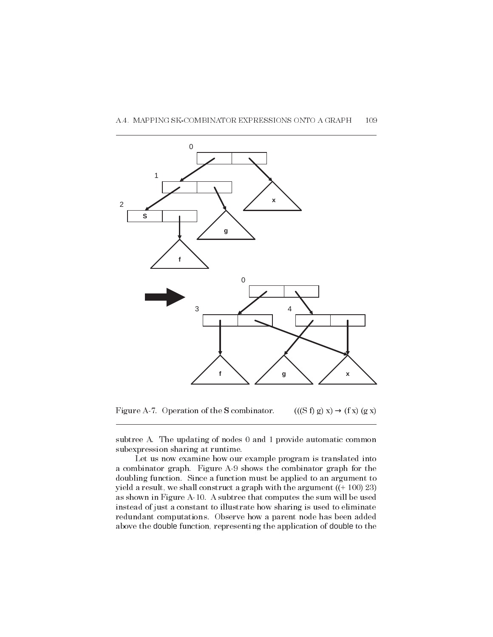

Figure A-7. Operation of the S combinator.  $(((S f) g) x) \rightarrow (f x) (g x)$ 

subtree A. The updating of nodes 0 and 1 provide automatic common subexpression sharing at runtime.

Let us now examine how our example program is translated into a combinator graph. Figure A-9 shows the combinator graph for the doubling function. Since a function must be applied to an argument to yield a result, we shall construct a graph with the argument ((+ 100) 23) as shown in Figure A-10. A subtree that computes the sum will be used instead of just a constant to illustrate how sharing is used to eliminate redundant computations. Observe how a parent node has been added above the double function, representing the application of double to the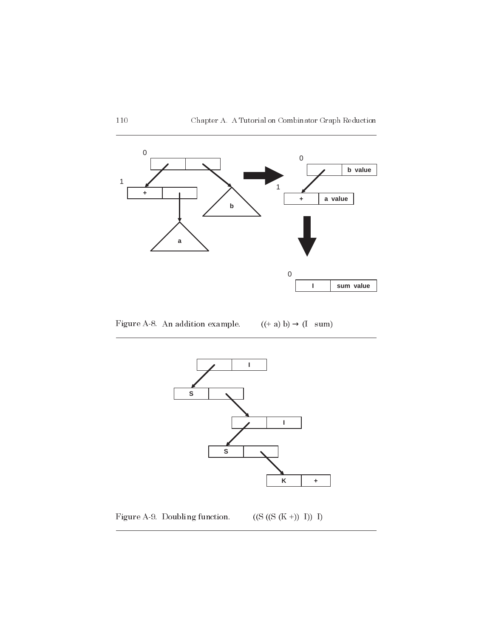

Figure A-8. An addition example. ((+ a) b)  $\rightarrow$  (I sum)



Figure A-9. Doubling function.  $((S ((S (K +)) I)) I)$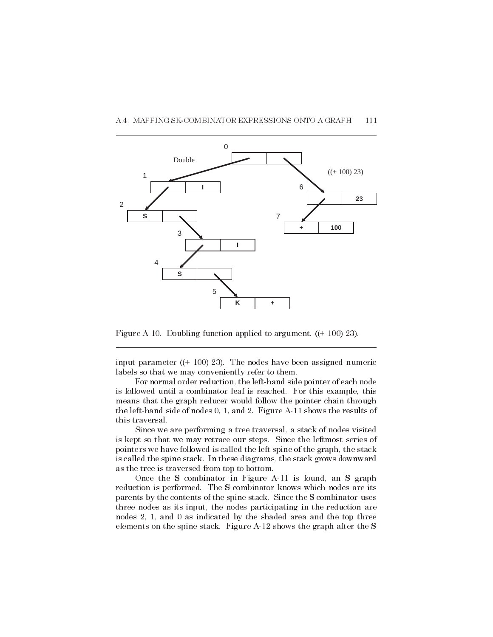

Figure A-10. Doubling function applied to argument. ((+ 100) 23).

5

**S**

4

input parameter ((+ 100) 23). The nodes have been assigned numeric labels so that we may conveniently refer to them.

**K +**

For normal order reduction, the left-hand side pointer of each node is followed until a combinator leaf is reached. For this example, this means that the graph reducer would follow the pointer chain through the left-hand side of nodes 0, 1, and 2. Figure A-11 shows the results of this traversal.

Since we are performing a tree traversal, a stack of nodes visited is kept so that we may retrace our steps. Since the leftmost series of pointers we have followed is called the left spine of the graph, the stack is called the spine stack. In these diagrams, the stack grows downward as the tree is traversed from top to bottom.

Once the S combinator in Figure A-11 is found, an S graph reduction is performed. The S combinator knows which nodes are its parents by the contents of the spine stack. Since the S combinator uses three nodes as its input, the nodes participating in the reduction are nodes 2, 1, and 0 as indicated by the shaded area and the top three elements on the spine stack. Figure A-12 shows the graph after the S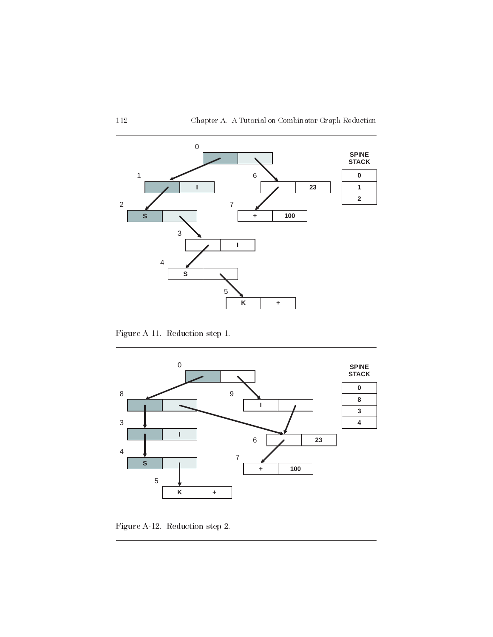

Figure A-11. Reduction step 1.



Figure A-12. Reduction step 2.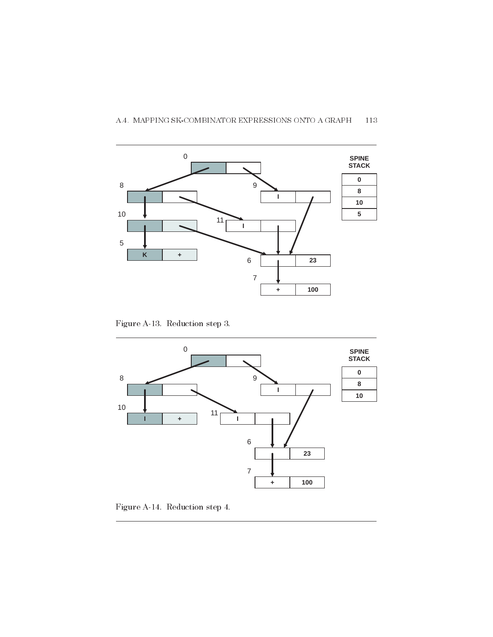

# A.4. MAPPING SK-COMBINATOR EXPRESSIONS ONTO A GRAPH 113

Figure A-13. Reduction step 3.



Figure A-14. Reduction step 4.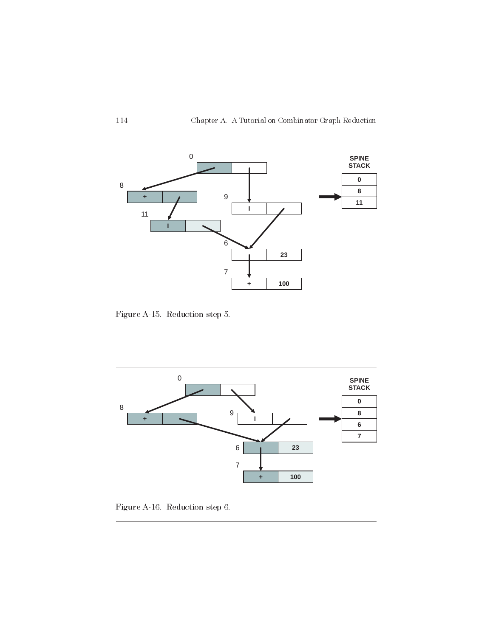

Figure A-15. Reduction step 5.



Figure A-16. Reduction step 6.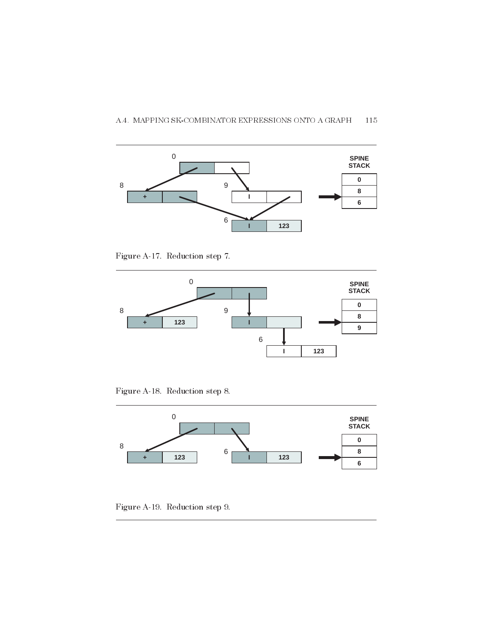

Figure A-17. Reduction step 7.



Figure A-18. Reduction step 8.



Figure A-19. Reduction step 9.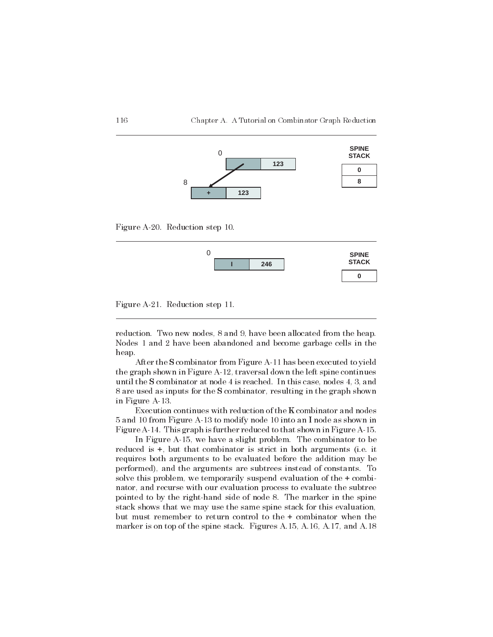

Figure A-20. Reduction step 10.





reduction. Two new nodes, 8 and 9, have been allocated from the heap. Nodes 1 and 2 have been abandoned and become garbage cells in the heap.

After the S combinator from Figure A-11 has been executed to yield the graph shown in Figure A-12, traversal down the left spine continues until the S combinator at node 4 is reached. In this case, nodes 4, 3, and 8 are used as inputs for the S combinator, resulting in the graph shown in Figure A-13.

Execution continues with reduction of the K combinator and nodes 5 and 10 from Figure A-13 to modify node 10 into an I node as shown in Figure A-14. This graph is further reduced to that shown in Figure A-15.

In Figure A-15, we have a slight problem. The combinator to be reduced is +, but that combinator is strict in both arguments (i.e. it requires both arguments to be evaluated before the addition may be performed), and the arguments are subtrees instead of constants. To solve this problem, we temporarily suspend evaluation of the + combinator, and recurse with our evaluation process to evaluate the subtree pointed to by the right-hand side of node 8. The marker in the spine stack shows that we may use the same spine stack for this evaluation, but must remember to return control to the + combinator when the marker is on top of the spine stack. Figures A.15, A.16, A.17, and A.18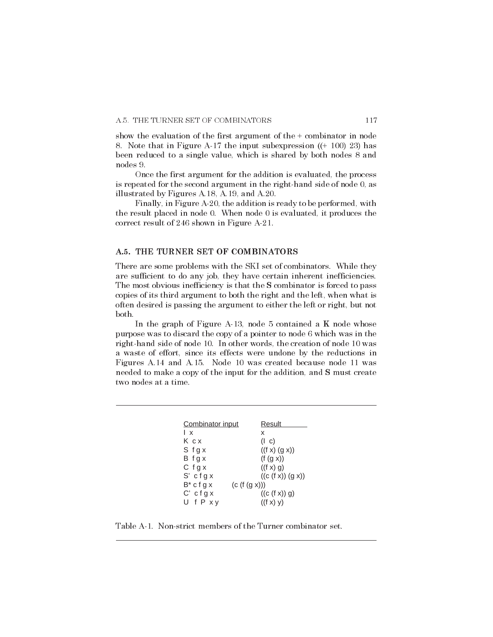show the evaluation of the first argument of the + combinator in node 8. Note that in Figure A-17 the input subexpression ((+ 100) 23) has been reduced to a single value, which is shared by both nodes 8 and nodes 9.

Once the first argument for the addition is evaluated, the process is repeated for the second argument in the right-hand side of node 0, as illustrated by Figures A.18, A.19, and A.20.

Finally, in Figure A-20, the addition is ready to be performed, with the result placed in node 0. When node 0 is evaluated, it produces the correct result of 246 shown in Figure A-21.

# A.5. THE TURNER SET OF COMBINATORS

There are some problems with the SKI set of combinators. While they are sufficient to do any job, they have certain inherent inefficiencies. The most obvious inefficiency is that the S combinator is forced to pass copies of its third argument to both the right and the left, when what is often desired is passing the argument to either the left or right, but not both.

In the graph of Figure A-13, node 5 contained a K node whose purpose was to discard the copy of a pointer to node 6 which was in the right-hand side of node 10. In other words, the creation of node 10 was a waste of effort, since its effects were undone by the reductions in Figures A.14 and A.15. Node 10 was created because node 11 was needed to make a copy of the input for the addition, and S must create two nodes at a time.

| Combinator input | Result            |  |  |
|------------------|-------------------|--|--|
| Iχ               | x                 |  |  |
| Ксх              | $($   c)          |  |  |
| Sfgx             | ((f x) (g x))     |  |  |
| B fgx            | (f (g x))         |  |  |
| $C$ fg x         | ((f x) q)         |  |  |
| $S'$ cfgx        | ((c (f x)) (g x)) |  |  |
| $B^*$ c f g x    | (c(f(g x)))       |  |  |
| $C'$ cfgx        | ((c(f x)) g)      |  |  |
| UfPxy            | ((f x) y)         |  |  |

Table A-1. Non-strict members of the Turner combinator set.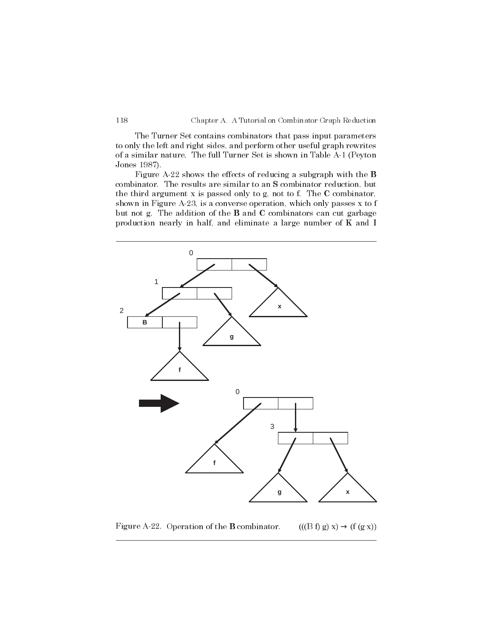The Turner Set contains combinators that pass input parameters to only the left and right sides, and perform other useful graph rewrites of a similar nature. The full Turner Set is shown in Table A-1 (Peyton Jones 1987).

Figure A-22 shows the effects of reducing a subgraph with the B combinator. The results are similar to an S combinator reduction, but the third argument x is passed only to g, not to f. The C combinator, shown in Figure A-23, is a converse operation, which only passes x to f but not g. The addition of the B and C combinators can cut garbage production nearly in half, and eliminate a large number of K and I



Figure A-22. Operation of the **B** combinator. (((B f) g) x)  $\rightarrow$  (f (g x))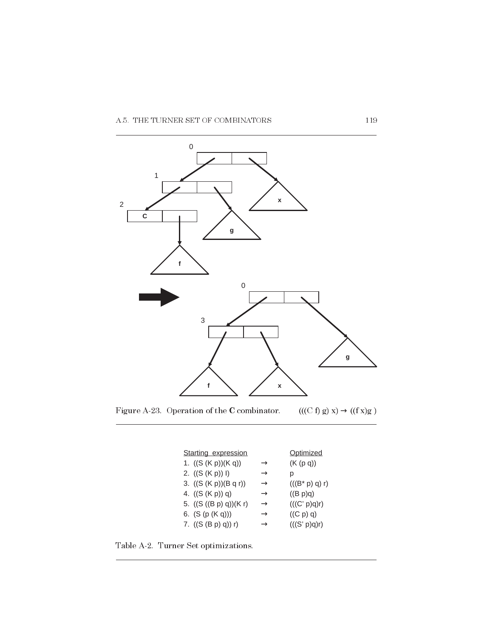

Figure A-23. Operation of the  $\bf C$  combinator.  $\hfill ((C\ f)\ g)\ x) \rightarrow ((f\ x)g\ )$ 

| Starting expression     |               | Optimized         |
|-------------------------|---------------|-------------------|
| 1. $((S (K p))(K q))$   | $\rightarrow$ | (K (p q))         |
| 2. $((S(Kp))I)$         | $\rightarrow$ | p                 |
| 3. $((S (K p))(B q r))$ | $\rightarrow$ | $(((B^* p) q) r)$ |
| 4. $((S(Kp)) q)$        | $\rightarrow$ | ((B p)q)          |
| 5. $((S((B p) q))(K r)$ | $\rightarrow$ | (((C' p)q)r)      |
| 6. $(S (p (K q)))$      | $\rightarrow$ | ((C p) q)         |
| 7. $((S (B p) q)) r)$   | $\rightarrow$ | (((S' p)q)r)      |
|                         |               |                   |

Table A-2. Turner Set optimizations.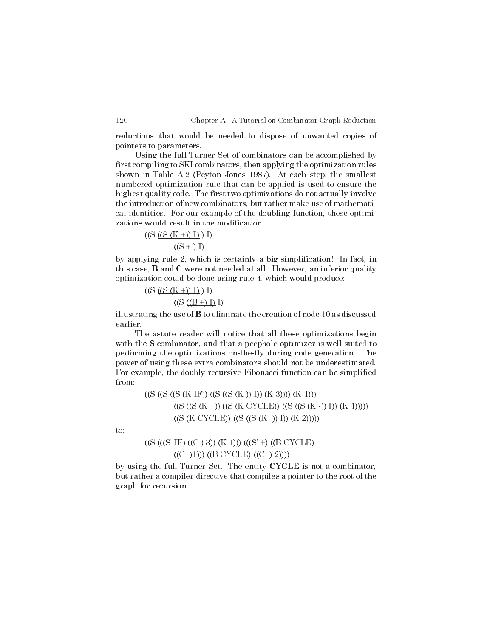reductions that would be needed to dispose of unwanted copies of pointers to parameters.

Using the full Turner Set of combinators can be accomplished by first compiling to SKI combinators, then applying the optimization rules shown in Table A-2 (Peyton Jones 1987). At each step, the smallest numbered optimization rule that can be applied is used to ensure the highest quality code. The first two optimizations do not actually involve the introduction of new combinators, but rather make use of mathematical identities. For our example of the doubling function, these optimizations would result in the modification:

((S ((S (K +)) I) ) I) ((S + ) I)

by applying rule 2, which is certainly a big simplification! In fact, in this case, B and C were not needed at all. However, an inferior quality optimization could be done using rule 4, which would produce:

$$
((S (S (K +)) I) I) I)
$$

$$
((S (B +) I) I)
$$

illustrating the use of B to eliminate the creation of node 10 as discussed earlier.

The astute reader will notice that all these optimizations begin with the **S** combinator, and that a peephole optimizer is well suited to performing the optimizations on-the-fly during code generation. The power of using these extra combinators should not be underestimated. For example, the doubly recursive Fibonacci function can be simplified from:

> $((S ((S ((S (K IF)) ((S (S (K))) I))(K 3)))) (K 1)))$  $((S ( (S (K +)) (S (K CYCLE)) ( (S ( (S (K -)) I)) (K 1))))))$  $((S (K CYCLE)) ((S ((S (K -)) I))(K 2))))$

to:

# $((S ((S 'IF) ((C ) 3)) (K 1))) ((S ' +) ((B CYCLE))$  $((C - 1))((B CYCLE) ((C - 2))))$

by using the full Turner Set. The entity CYCLE is not a combinator, but rather a compiler directive that compiles a pointer to the root of the graph for recursion.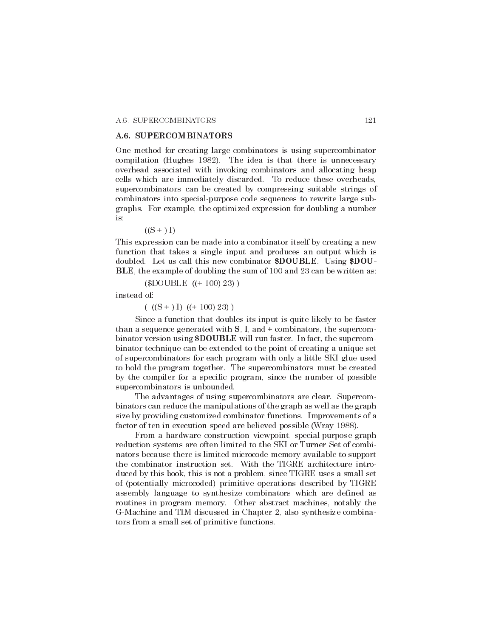#### A.6. SUPERCOMBINATORS

One method for creating large combinators is using supercombinator compilation (Hughes 1982). The idea is that there is unnecessary overhead associated with invoking combinators and allocating heap cells which are immediately discarded. To reduce these overheads, supercombinators can be created by compressing suitable strings of combinators into special-purpose code sequences to rewrite large subgraphs. For example, the optimized expression for doubling a number is:

 $((S + I)$ 

This expression can be made into a combinator itself by creating a new function that takes a single input and produces an output which is doubled. Let us call this new combinator \$DOUBLE. Using \$DOU-BLE, the example of doubling the sum of 100 and 23 can be written as:

(\$DOUBLE ((+ 100) 23) )

instead of:

 $((S + I)(+ 100) 23))$ 

Since a function that doubles its input is quite likely to be faster than a sequence generated with  $S$ , I, and  $+$  combinators, the supercombinator version using \$DOUBLE will run faster. In fact, the supercombinator technique can be extended to the point of creating a unique set of supercombinators for each program with only a little SKI glue used to hold the program together. The supercombinators must be created by the compiler for a specific program, since the number of possible supercombinators is unbounded.

The advantages of using supercombinators are clear. Supercombinators can reduce the manipulations of the graph as well as the graph size by providing customized combinator functions. Improvements of a factor of ten in execution speed are believed possible (Wray 1988).

From a hardware construction viewpoint, special-purpose graph reduction systems are often limited to the SKI or Turner Set of combinators because there is limited microcode memory available to support the combinator instruction set. With the TIGRE architecture introduced by this book, this is not a problem, since TIGRE uses a small set of (potentially microcoded) primitive operations described by TIGRE assembly language to synthesize combinators which are defined as routines in program memory. Other abstract machines, notably the G-Machine and TIM discussed in Chapter 2, also synthesize combinators from a small set of primitive functions.